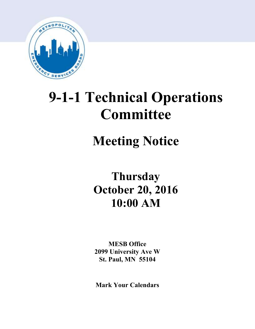

# **9-1-1 Technical Operations Committee**

## **Meeting Notice**

## **Thursday October 20, 2016 10:00 AM**

**MESB Office 2099 University Ave W St. Paul, MN 55104**

**Mark Your Calendars**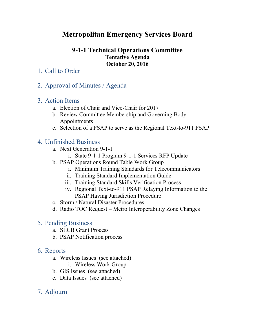## **Metropolitan Emergency Services Board**

## **9-1-1 Technical Operations Committee Tentative Agenda October 20, 2016**

## 1. Call to Order

2. Approval of Minutes / Agenda

## 3. Action Items

- a. Election of Chair and Vice-Chair for 2017
- b. Review Committee Membership and Governing Body Appointments
- c. Selection of a PSAP to serve as the Regional Text-to-911 PSAP

## 4. Unfinished Business

- a. Next Generation 9-1-1
	- i. State 9-1-1 Program 9-1-1 Services RFP Update
- b. PSAP Operations Round Table Work Group
	- i. Minimum Training Standards for Telecommunicators
	- ii. Training Standard Implementation Guide
	- iii. Training Standard Skills Verification Process
	- iv. Regional Text-to-911 PSAP Relaying Information to the PSAP Having Jurisdiction Procedure
- c. Storm / Natural Disaster Procedures
- d. Radio TOC Request Metro Interoperability Zone Changes

## 5. Pending Business

- a. SECB Grant Process
- b. PSAP Notification process

## 6. Reports

- a. Wireless Issues (see attached)
	- i. Wireless Work Group
- b. GIS Issues (see attached)
- c. Data Issues (see attached)
- 7. Adjourn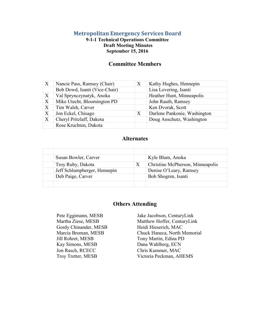#### **Metropolitan Emergency Services Board**

#### **9-1-1 Technical Operations Committee Draft Meeting Minutes September 15, 2016**

#### **Committee Members**

| $\boldsymbol{X}$ | Nancie Pass, Ramsey (Chair)   | X | Kathy Hughes, Hennepin       |
|------------------|-------------------------------|---|------------------------------|
|                  | Bob Dowd, Isanti (Vice-Chair) |   | Lisa Lovering, Isanti        |
| X                | Val Sprynczynatyk, Anoka      |   | Heather Hunt, Minneapolis    |
| X                | Mike Utecht, Bloomington PD   |   | John Rauth, Ramsey           |
| X                | Tim Walsh, Carver             |   | Ken Dvorak, Scott            |
| X                | Jon Eckel, Chisago            | X | Darlene Pankonie, Washington |
| X                | Cheryl Pritzlaff, Dakota      |   | Doug Anschutz, Washington    |
|                  | Rose Kruchten, Dakota         |   |                              |

#### **Alternates**

| Susan Bowler, Carver         |   | Kyle Blum, Anoka                 |
|------------------------------|---|----------------------------------|
| Troy Ruby, Dakota            | X | Christine McPherson, Minneapolis |
| Jeff Schlumpberger, Hennepin |   | Denise O'Leary, Ramsey           |
| Deb Paige, Carver            |   | Bob Shogren, Isanti              |
|                              |   |                                  |

#### **Others Attending**

Gordy Chinander, MESB Marcia Broman, MESB Jill Rohret, MESB Kay Simons, MESB Dana Wahlberg, ECN Jon Rasch, RCECC Chris Kummer, MAC<br>
Troy Tretter, MESB Victoria Peckman, AF

Pete Eggimann, MESB Jake Jacobson, CenturyLink Martha Ziese, MESB Matthew Hoffer, CenturyLink Heidi Hieserich, MAC Chuck Haneca, North Memorial Tony Martin, Edina PD Victoria Peckman, AHEMS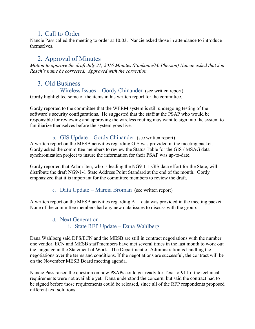## 1. Call to Order

Nancie Pass called the meeting to order at 10:03. Nancie asked those in attendance to introduce themselves.

## 2. Approval of Minutes

*Motion to approve the draft July 21, 2016 Minutes (Pankonie/McPherson) Nancie asked that Jon Rasch's name be corrected. Approved with the correction.* 

## 3. Old Business

a. Wireless Issues – Gordy Chinander (see written report) Gordy highlighted some of the items in his written report for the committee.

Gordy reported to the committee that the WERM system is still undergoing testing of the software's security configurations. He suggested that the staff at the PSAP who would be responsible for reviewing and approving the wireless routing may want to sign into the system to familiarize themselves before the system goes live.

b. GIS Update – Gordy Chinander (see written report)

A written report on the MESB activities regarding GIS was provided in the meeting packet. Gordy asked the committee members to review the Status Table for the GIS / MSAG data synchronization project to insure the information for their PSAP was up-to-date.

Gordy reported that Adam Iten, who is leading the NG9-1-1 GIS data effort for the State, will distribute the draft NG9-1-1 State Address Point Standard at the end of the month. Gordy emphasized that it is important for the committee members to review the draft.

c. Data Update – Marcia Broman (see written report)

A written report on the MESB activities regarding ALI data was provided in the meeting packet. None of the committee members had any new data issues to discuss with the group.

#### d. Next Generation i. State RFP Update – Dana Wahlberg

Dana Wahlberg said DPS/ECN and the MESB are still in contract negotiations with the number one vendor. ECN and MESB staff members have met several times in the last month to work out the language in the Statement of Work. The Department of Administration is handling the negotiations over the terms and conditions. If the negotiations are successful, the contract will be on the November MESB Board meeting agenda.

Nancie Pass raised the question on how PSAPs could get ready for Text-to-911 if the technical requirements were not available yet. Dana understood the concern, but said the contract had to be signed before those requirements could be released, since all of the RFP respondents proposed different text solutions.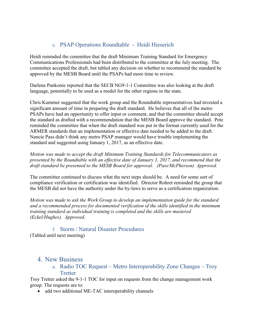### e. PSAP Operations Roundtable - Heidi Hieserich

Heidi reminded the committee that the draft Minimum Training Standard for Emergency Communications Professionals had been distributed to the committee at the July meeting. The committee accepted the draft, but tabled any decision on whether to recommend the standard be approved by the MESB Board until the PSAPs had more time to review.

Darlene Pankonie reported that the SECB NG9-1-1 Committee was also looking at the draft language, potentially to be used as a model for the other regions in the state.

Chris Kummer suggested that the work group and the Roundtable representatives had invested a significant amount of time in preparing the draft standard. He believes that all of the metro PSAPs have had an opportunity to offer input or comment, and that the committee should accept the standard as drafted with a recommendation that the MESB Board approve the standard. Pete reminded the committee that when the draft standard was put in the format currently used for the ARMER standards that an implementation or effective date needed to be added to the draft. Nancie Pass didn't think any metro PSAP manager would have trouble implementing the standard and suggested using January 1, 2017, as an effective date.

*Motion was made to accept the draft Minimum Training Standards for Telecommunicators as presented by the Roundtable with an effective date of January 1, 2017, and recommend that the draft standard be presented to the MESB Board for approval. (Pass/McPherson) Approved.*

The committee continued to discuss what the next steps should be. A need for some sort of compliance verification or certification was identified. Director Rohret reminded the group that the MESB did not have the authority under the by-laws to serve as a certification organization.

*Motion was made to ask the Work Group to develop an implementation guide for the standard and a recommended process for documented verification of the skills identified in the minimum training standard as individual training is completed and the skills are mastered (Eckel/Hughes). Approved.*

#### f. Storm / Natural Disaster Procedures

(Tabled until next meeting)

## 4. New Business

a. Radio TOC Request – Metro Interoperability Zone Changes – Troy **Tretter** 

Troy Tretter asked the 9-1-1 TOC for input on requests from the change management work group. The requests are to:

• add two additional ME-TAC interoperability channels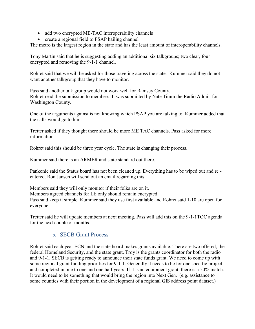- add two encrypted ME-TAC interoperability channels
- create a regional field to PSAP hailing channel

The metro is the largest region in the state and has the least amount of interoperability channels.

Tony Martin said that he is suggesting adding an additional six talkgroups; two clear, four encrypted and removing the 9-1-1 channel.

Rohret said that we will be asked for those traveling across the state. Kummer said they do not want another talkgroup that they have to monitor.

Pass said another talk group would not work well for Ramsey County. Rohret read the submission to members. It was submitted by Nate Timm the Radio Admin for Washington County.

One of the arguments against is not knowing which PSAP you are talking to. Kummer added that the calls would go to him.

Tretter asked if they thought there should be more ME TAC channels. Pass asked for more information.

Rohret said this should be three year cycle. The state is changing their process.

Kummer said there is an ARMER and state standard out there.

Pankonie said the Status board has not been cleaned up. Everything has to be wiped out and re entered. Ron Jansen will send out an email regarding this.

Members said they will only monitor if their folks are on it. Members agreed channels for LE only should remain encrypted. Pass said keep it simple. Kummer said they use first available and Rohret said 1-10 are open for everyone.

Tretter said he will update members at next meeting. Pass will add this on the 9-1-1TOC agenda for the next couple of months.

#### b. SECB Grant Process

Rohret said each year ECN and the state board makes grants available. There are two offered; the federal Homeland Security, and the state grant. Troy is the grants coordinator for both the radio and 9-1-1. SECB is getting ready to announce their state funds grant. We need to come up with some regional grant funding priorities for 9-1-1. Generally it needs to be for one specific project and completed in one to one and one half years. If it is an equipment grant, there is a 50% match. It would need to be something that would bring the region into Next Gen. (e.g. assistance to some counties with their portion in the development of a regional GIS address point dataset.)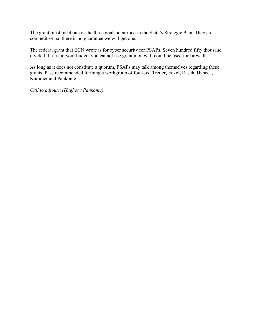The grant must meet one of the three goals identified in the State's Strategic Plan. They are competitive, so there is no guarantee we will get one.

The federal grant that ECN wrote is for cyber security for PSAPs. Seven hundred fifty thousand divided. If it is in your budget you cannot use grant money. It could be used for firewalls.

As long as it does not constitute a quorum, PSAPs may talk among themselves regarding these grants. Pass recommended forming a workgroup of four-six. Tretter, Eckel, Rasch, Haneca, Kummer and Pankonie.

*Call to adjourn (Hughes / Pankonie)*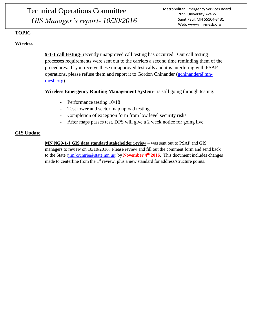#### **TOPIC**

#### **Wireless**

**9-1-1 call testing-** recently unapproved call testing has occurred. Our call testing processes requirements were sent out to the carriers a second time reminding them of the procedures. If you receive these un-approved test calls and it is interfering with PSAP operations, please refuse them and report it to Gordon Chinander [\(gchinander@mn](mailto:gchinander@mn-mesb.org)[mesb.org\)](mailto:gchinander@mn-mesb.org)

**Wireless Emergency Routing Management System-** is still going through testing.

- Performance testing  $10/18$
- Test tower and sector map upload testing
- Completion of exception form from low level security risks
- After maps passes test, DPS will give a 2 week notice for going live

#### **GIS Update**

**MN NG9-1-1 GIS data standard stakeholder review** *–* was sent out to PSAP and GIS managers to review on 10/10/2016. Please review and fill out the comment form and send back to the State [\(jim.krumrie@state.mn.us\)](mailto:jim.krumrie@state.mn.us) by **November 4th 2016**. This document includes changes made to centerline from the  $1<sup>st</sup>$  review, plus a new standard for address/structure points.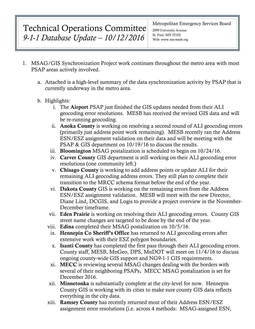## Technical Operations Committee *9-1-1 Database Update – 10/12/2016*

#### Metropolitan Emergency Services Board

2099 University Avenue St. Paul, MN 55102 Web: www.mn-mesb.org

- 1. MSAG/GIS Synchronization Project work continues throughout the metro area with most PSAP areas actively involved.
	- a. Attached is a high-level summary of the data synchronization activity by PSAP that is currently underway in the metro area.
	- b. Highlights:
		- i. The Airport PSAP just finished the GIS updates needed from their ALI geocoding error resolutions. MESB has received the revised GIS data and will be re-running geocoding.
		- ii. Anoka County is working on resolving a second round of ALI geocoding errors (primarily just address point work remaining). MESB recently ran the Address ESN/ESZ assignment validation on their data and will be meeting with the PSAP & GIS department on 10/19/16 to discuss the results.
		- iii. Bloomington MSAG postalization is scheduled to begin on 10/24/16.
		- iv. Carver County GIS department is still working on their ALI geocoding error resolutions (one community left.)
		- v. Chisago County is working to add address points or update ALI for their remaining ALI geocoding address errors. They still plan to complete their transition to the MRCC schema format before the end of the year.
		- vi. Dakota County GIS is working on the remaining errors from the Address ESN/ESZ assignment validation. MESB will meet with the new Director, Diane Lind, DCGIS, and Logis to provide a project overview in the November-December timeframe.
		- vii. Eden Prairie is working on resolving their ALI geocoding errors. County GIS street name changes are targeted to be done by the end of the year.
		- viii. Edina completed their MSAG postalization on 10/5/16.
		- ix. Hennepin Co Sheriff's Office has returned to ALI geocoding errors after extensive work with their ESZ polygon boundaries.
		- x. Isanti County has completed the first pass through their ALI geocoding errors. County staff, MESB, MnGeo, DPS, MnDOT will meet on 11/4/16 to discuss ongoing county-wide GIS support and NG9-1-1 GIS requirements.
		- xi. MECC is reviewing several MSAG changes dealing with the borders with several of their neighboring PSAPs. MECC MSAG postalization is set for December 2016.
		- xii. Minnetonka is substantially complete at the city-level for now. Hennepin County GIS is working with its cities to make sure county GIS data reflects everything in the city data.
		- xiii. Ramsey County has recently returned most of their Address ESN/ESZ assignment error resolutions (i.e. across 4 methods: MSAG-assigned ESN,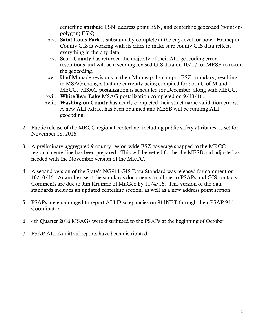centerline attribute ESN, address point ESN, and centerline geocoded (point-inpolygon) ESN).

- xiv. Saint Louis Park is substantially complete at the city-level for now. Hennepin County GIS is working with its cities to make sure county GIS data reflects everything in the city data.
- xv. Scott County has returned the majority of their ALI geocoding error resolutions and will be resending revised GIS data on 10/17 for MESB to re-run the geocoding.
- xvi. U of M made revisions to their Minneapolis campus ESZ boundary, resulting in MSAG changes that are currently being compiled for both U of M and MECC. MSAG postalization is scheduled for December, along with MECC.
- xvii. White Bear Lake MSAG postalization completed on 9/13/16.
- xviii. Washington County has nearly completed their street name validation errors. A new ALI extract has been obtained and MESB will be running ALI geocoding.
- 2. Public release of the MRCC regional centerline, including public safety attributes, is set for November 18, 2016.
- 3. A preliminary aggregated 9-county region-wide ESZ coverage snapped to the MRCC regional centerline has been prepared. This will be vetted further by MESB and adjusted as needed with the November version of the MRCC.
- 4. A second version of the State's NG911 GIS Data Standard was released for comment on 10/10/16. Adam Iten sent the standards documents to all metro PSAPs and GIS contacts. Comments are due to Jim Krumrie of MnGeo by 11/4/16. This version of the data standards includes an updated centerline section, as well as a new address point section.
- 5. PSAPs are encouraged to report ALI Discrepancies on 911NET through their PSAP 911 Coordinator.
- 6. 4th Quarter 2016 MSAGs were distributed to the PSAPs at the beginning of October.
- 7. PSAP ALI Audittrail reports have been distributed.